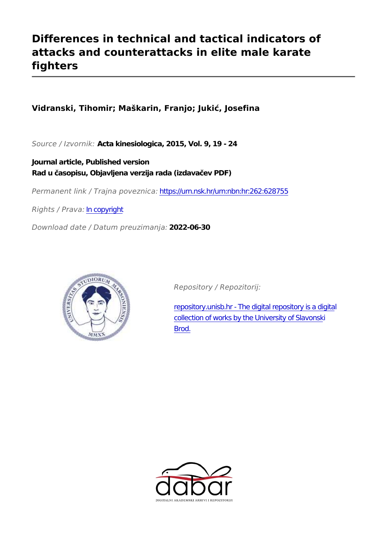# **Differences in technical and tactical indicators of attacks and counterattacks in elite male karate fighters**

# **Vidranski, Tihomir; Maškarin, Franjo; Jukić, Josefina**

*Source / Izvornik:* **Acta kinesiologica, 2015, Vol. 9, 19 - 24**

**Journal article, Published version Rad u časopisu, Objavljena verzija rada (izdavačev PDF)**

*Permanent link / Trajna poveznica:* <https://urn.nsk.hr/urn:nbn:hr:262:628755>

*Rights / Prava:* [In copyright](http://rightsstatements.org/vocab/InC/1.0/)

*Download date / Datum preuzimanja:* **2022-06-30**



*Repository / Repozitorij:*

[repository.unisb.hr - The digital repository is a digita](https://repozitorij.unisb.hr)l [collection of works by the University of Slavonsk](https://repozitorij.unisb.hr)i [Brod.](https://repozitorij.unisb.hr)

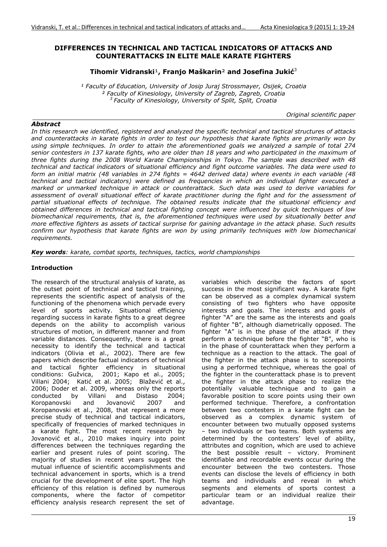#### **DIFFERENCES IN TECHNICAL AND TACTICAL INDICATORS OF ATTACKS AND COUNTERATTACKS IN ELITE MALE KARATE FIGHTERS**

#### **Tihomir Vidranski**¹**, Franjo Maškarin**² **and Josefina Jukić**<sup>3</sup>

<sup>1</sup> Faculty of Education, University of Josip Juraj Strossmayer, Osijek, Croatia *² Faculty of Kinesiology, University of Zagreb, Zagreb, Croatia 3 Faculty of Kinesiology, University of Split, Split, Croatia* 

*Original scientific paper* 

*Abstract In this research we identified, registered and analyzed the specific technical and tactical structures of attacks and counterattacks in karate fights in order to test our hypothesis that karate fights are primarily won by using simple techniques. In order to attain the aforementioned goals we analyzed a sample of total 274 senior contesters in 137 karate fights, who are older than 18 years and who participated in the maximum of three fights during the 2008 World Karate Championships in Tokyo. The sample was described with 48 technical and tactical indicators of situational efficiency and fight outcome variables. The data were used to form an initial matrix (48 variables in 274 fights = 4642 derived data) where events in each variable (48 technical and tactical indicators) were defined as frequencies in which an individual fighter executed a marked or unmarked technique in attack or counterattack. Such data was used to derive variables for assessment of overall situational effect of karate practitioner during the fight and for the assessment of partial situational effects of technique. The obtained results indicate that the situational efficiency and obtained differences in technical and tactical fighting concept were influenced by quick techniques of low biomechanical requirements, that is, the aforementioned techniques were used by situationally better and more effective fighters as assets of tactical surprise for gaining advantage in the attack phase. Such results confirm our hypothesis that karate fights are won by using primarily techniques with low biomechanical requirements.* 

*Key words: karate, combat sports, techniques, tactics, world championships* 

#### **Introduction**

The research of the structural analysis of karate, as the outset point of technical and tactical training, represents the scientific aspect of analysis of the functioning of the phenomena which pervade every level of sports activity. Situational efficiency regarding success in karate fights to a great degree depends on the ability to accomplish various structures of motion, in different manner and from variable distances. Consequently, there is a great necessity to identify the technical and tactical indicators (Olivia et al., 2002). There are few papers which describe factual indicators of technical and tactical fighter efficiency in situational conditions: Gužvica, 2001; Kapo et al., 2005; Villani 2004; Katić et al. 2005; Blažević et al., 2006; Doder et al. 2009, whereas only the reports conducted by Villani and Distaso 2004; Koropanovski and Jovanović 2007 and Koropanovski et al., 2008, that represent a more precise study of technical and tactical indicators, specifically of frequencies of marked techniques in a karate fight. The most recent research by Jovanović et al., 2010 makes inquiry into point differences between the techniques regarding the earlier and present rules of point scoring. The majority of studies in recent years suggest the mutual influence of scientific accomplishments and technical advancement in sports, which is a trend crucial for the development of elite sport. The high efficiency of this relation is defined by numerous components, where the factor of competitor efficiency analysis research represent the set of

variables which describe the factors of sport success in the most significant way. A karate fight can be observed as a complex dynamical system consisting of two fighters who have opposite interests and goals. The interests and goals of fighter "A" are the same as the interests and goals of fighter "B", although diametrically opposed. The fighter "A" is in the phase of the attack if they perform a technique before the fighter "B", who is in the phase of counterattack when they perform a technique as a reaction to the attack. The goal of the fighter in the attack phase is to scorepoints using a performed technique, whereas the goal of the fighter in the counterattack phase is to prevent the fighter in the attack phase to realize the potentially valuable technique and to gain a favorable position to score points using their own performed technique. Therefore, a confrontation between two contesters in a karate fight can be observed as a complex dynamic system of encounter between two mutually opposed systems – two individuals or two teams. Both systems are determined by the contesters' level of ability, attributes and cognition, which are used to achieve the best possible result – victory. Prominent identifiable and recordable events occur during the encounter between the two contesters. Those events can disclose the levels of efficiency in both teams and individuals and reveal in which segments and elements of sports contest a particular team or an individual realize their advantage.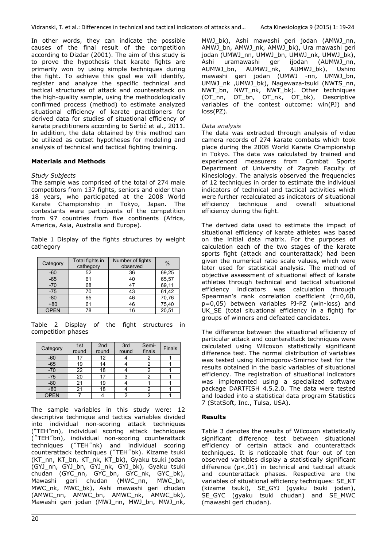In other words, they can indicate the possible causes of the final result of the competition according to Dizdar (2001). The aim of this study is to prove the hypothesis that karate fights are primarily won by using simple techniques during the fight. To achieve this goal we will identify, register and analyze the specific technical and tactical structures of attack and counterattack on the high-quality sample, using the methodologically confirmed process (method) to estimate analyzed situational efficiency of karate practitioners for derived data for studies of situational efficiency of karate practitioners according to Sertić et al., 2011. In addition, the data obtained by this method can be utilized as outset hypotheses for modeling and analysis of technical and tactical fighting training.

# **Materials and Methods**

#### *Study Subjects*

The sample was comprised of the total of 274 male competitors from 137 fights, seniors and older than 18 years, who participated at the 2008 World Karate Championship in Tokyo, Japan. The contestants were participants of the competition from 97 countries from five continents (Africa, America, Asia, Australia and Europe).

Table 1 Display of the fights structures by weight cathegory

| Category    | Total fights in<br>cathegory | Number of fights<br>observed | $\%$  |
|-------------|------------------------------|------------------------------|-------|
| $-60$       | 52                           | 36                           | 69,25 |
| $-65$       | 61                           | 40                           | 65,57 |
| $-70$       | 68                           | 47                           | 69,11 |
| $-75$       | 70                           | 43                           | 61,42 |
| $-80$       | 65                           | 46                           | 70,76 |
| $+80$       | 61                           | 46                           | 75,40 |
| <b>OPEN</b> | 78                           | 16                           | 20,51 |

Table 2 Display of the fight structures in competition phases

| Category    | 1st<br>round | 2nd<br>round | 3rd<br>round | Semi-<br>finals | <b>Finals</b> |
|-------------|--------------|--------------|--------------|-----------------|---------------|
| $-60$       |              | 12           |              |                 |               |
| $-65$       | 19           | 14           |              |                 |               |
| $-70$       | 22           | 18           |              | 2               |               |
| $-75$       | 20           | 17           | 3            | 2               |               |
| $-80$       | 21           | 19           |              |                 |               |
| $+80$       | 21           | 18           |              | 2               |               |
| <b>OPEN</b> |              |              | ົ            | 2               |               |

The sample variables in this study were: 12 descriptive technique and tactics variables divided into individual non-scoring attack techniques ("TEH"nn), individual scoring attack techniques (˝TEH˝bn), individual non-scoring counterattack techniques (˝TEH˝nk) and individual scoring counterattack techniques (˝TEH˝bk). Kizame tsuki (KT\_nn, KT\_bn, KT\_nk, KT\_bk), Gyaku tsuki jodan (GYJ\_nn, GYJ\_bn, GYJ\_nk, GYJ\_bk), Gyaku tsuki chudan (GYC\_nn, GYC\_bn, GYC\_nk, GYC\_bk), Mawashi geri chudan (MWC\_nn, MWC\_bn, MWC\_nk, MWC\_bk), Ashi mawashi geri chudan (AMWC\_nn, AMWC\_bn, AMWC\_nk, AMWC\_bk), Mawashi geri jodan (MWJ nn, MWJ bn, MWJ nk,

MWJ\_bk), Ashi mawashi geri jodan (AMWJ\_nn, AMWJ\_bn, AMWJ\_nk, AMWJ\_bk), Ura mawashi geri jodan (UMWJ\_nn, UMWJ\_bn, UMWJ\_nk, UMWJ\_bk), Ashi uramawashi ger ijodan (AUMWJ\_nn, AUMWJ\_bn, AUMWJ\_nk, AUMWJ\_bk), Ushiro mawashi geri jodan (UMWJ -nn, UMWJ\_bn, UMWJ\_nk ,UMWJ\_bk), Nagewaza-tsuki (NWTS\_nn, NWT\_bn, NWT\_nk, NWT\_bk). Other techniques (OT\_nn, OT\_bn, OT\_nk, OT\_bk), Descriptive variables of the contest outcome: win(PJ) and loss(PZ).

#### *Data analysis*

The data was extracted through analysis of video camera records of 274 karate combats which took place during the 2008 World Karate Championship in Tokyo. The data was calculated by trained and experienced measurers from Combat Sports Department of University of Zagreb Faculty of Kinesiology. The analysis observed the frequencies of 12 techniques in order to estimate the individual indicators of technical and tactical activities which were further recalculated as indicators of situational efficiency technique and overall situational efficiency during the fight.

The derived data used to estimate the impact of situational efficiency of karate athletes was based on the initial data matrix. For the purposes of calculation each of the two stages of the karate sports fight (attack and counterattack) had been given the numerical ratio scale values, which were later used for statistical analysis. The method of objective assessment of situational effect of karate athletes through technical and tactical situational efficiency indicators was calculation through Spearman's rank correlation coefficient (r=0,60, p=0,05) between variables PJ-PZ (win-loss) and UK SE (total situational efficiency in a fight) for groups of winners and defeated candidates.

The difference between the situational efficiency of particular attack and counterattack techniques were calculated using Wilcoxon statistically significant difference test. The normal distribution of variables was tested using Kolmogorov-Smirnov test for the results obtained in the basic variables of situational efficiency. The registration of situational indicators was implemented using a specialized software package DARTFISH 4.5.2.0. The data were tested and loaded into a statistical data program Statistics 7 (StatSoft, Inc., Tulsa, USA).

## **Results**

Table 3 denotes the results of Wilcoxon statistically significant difference test between situational efficiency of certain attack and counterattack techniques. It is noticeable that four out of ten observed variables display a statistically significant difference (p<,01) in technical and tactical attack and counterattack phases. Respective are the variables of situational efficiency techniques: SE\_KT (kizame tsuki), SE\_GYJ (gyaku tsuki jodan), SE\_GYC (gyaku tsuki chudan) and SE\_MWC (mawashi geri chudan).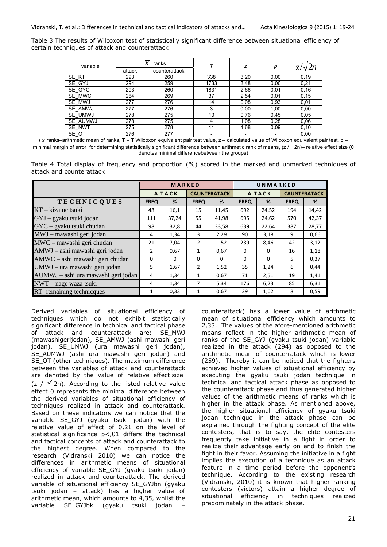Table 3 The results of Wilcoxon test of statistically significant difference between situational efficiency of certain techniques of attack and counterattack

| variable |        | $\mathcal{X}$<br>ranks |      | z    | р    |       |  |
|----------|--------|------------------------|------|------|------|-------|--|
|          | attack | counterattack          |      |      |      |       |  |
| SE KT    | 293    | 260                    | 338  | 3,20 | 0,00 | 0, 19 |  |
| SE GYJ   | 294    | 259                    | 1733 | 3,48 | 0,00 | 0,21  |  |
| SE GYC   | 293    | 260                    | 1831 | 2,66 | 0,01 | 0,16  |  |
| SE MWC   | 284    | 269                    | 37   | 2,54 | 0,01 | 0, 15 |  |
| SE MWJ   | 277    | 276                    | 14   | 0.08 | 0,93 | 0,01  |  |
| SE AMWJ  | 277    | 276                    | 3    | 0,00 | 1,00 | 0,00  |  |
| SE UMWJ  | 278    | 275                    | 10   | 0,76 | 0,45 | 0.05  |  |
| SE AUMWJ | 278    | 275                    | 4    | 1,08 | 0,28 | 0,06  |  |
| SE NWT   | 275    | 278                    | 11   | 1,68 | 0.09 | 0,10  |  |
| SE_OT    | 276    | 277                    |      |      |      | 0,00  |  |

( *x* ranks–arithmetic mean of ranks, T – T Wilcoxon equivalent pair test value, z – calculated value of Wilcoxon equivalent pair test, p – minimal margin of error for determining statistically significant difference between arithmetic rank of means,  $(z / 2n)$ – relative effect size (0 denotes minimal differencebetween the groups)

|                          |  |  | Table 4 Total display of frequency and proportion (%) scored in the marked and unmarked techniques of |  |  |  |  |  |
|--------------------------|--|--|-------------------------------------------------------------------------------------------------------|--|--|--|--|--|
| attack and counterattack |  |  |                                                                                                       |  |  |  |  |  |

|                                     | MARKED      |              |             |                     | UNMARKED     |          |                     |       |  |
|-------------------------------------|-------------|--------------|-------------|---------------------|--------------|----------|---------------------|-------|--|
|                                     |             | <b>ATACK</b> |             | <b>CAUNTERATACK</b> | <b>ATACK</b> |          | <b>CAUNTERATACK</b> |       |  |
| <b>TECHNICQUES</b>                  | <b>FREQ</b> | %            | <b>FREQ</b> | %                   | <b>FREQ</b>  | %        | <b>FREQ</b>         | %     |  |
| KT – kizame tsuki                   | 48          | 16,1         | 15          | 11,45               | 692          | 24,52    | 194                 | 14,42 |  |
| GYJ – gyaku tsuki jodan             | 111         | 37,24        | 55          | 41,98               | 695          | 24,62    | 570                 | 42,37 |  |
| $\text{GYC}$ – gyaku tsuki chudan   | 98          | 32,8         | 44          | 33,58               | 639          | 22,64    | 387                 | 28,77 |  |
| MWJ - mawashi geri jodan            | 4           | 1,34         | 3           | 2,29                | 90           | 3,18     | q                   | 0,66  |  |
| MWC - mawashi geri chudan           | 21          | 7,04         | 2           | 1,52                | 239          | 8,46     | 42                  | 3,12  |  |
| AMWJ - ashi mawashi geri jodan      | 2           | 0,67         | 1           | 0,67                | $\Omega$     | $\Omega$ | 16                  | 1,18  |  |
| AMWC - ashi mawashi geri chudan     | $\Omega$    | $\Omega$     | $\Omega$    | $\Omega$            | $\Omega$     | $\Omega$ | 5                   | 0,37  |  |
| UMWJ – ura mawashi geri jodan       | 5           | 1,67         | 2           | 1,52                | 35           | 1,24     | 6                   | 0,44  |  |
| AUMWJ – ashi ura mawashi geri jodan | 4           | 1,34         | 1           | 0,67                | 71           | 2,51     | 19                  | 1,41  |  |
| NWT – nage waza tsuki               | 4           | 1,34         | 7           | 5,34                | 176          | 6,23     | 85                  | 6,31  |  |
| RT-remaining technicques            | 1           | 0,33         |             | 0,67                | 29           | 1,02     | 8                   | 0,59  |  |

Derived variables of situational efficiency of techniques which do not exhibit statistically significant difference in technical and tactical phase of attack and counterattack are: SE\_MWJ (mawashigerijodan), SE\_AMWJ (ashi mawashi geri jodan), SE\_UMWJ (ura mawashi geri jodan), SE AUMWJ (ashi ura mawashi geri jodan) and SE\_OT (other techniques). The maximum difference between the variables of attack and counterattack are denoted by the value of relative effect size  $(z / \sqrt{2n})$ . According to the listed relative value effect 0 represents the minimal difference between the derived variables of situational efficiency of techniques realized in attack and counterattack. Based on these indicators we can notice that the variable SE\_GYJ (gyaku tsuki jodan) with the relative value of effect of 0,21 on the level of statistical significance p<,01 differs the technical and tactical concepts of attack and counterattack to the highest degree. When compared to the research (Vidranski 2010) we can notice the differences in arithmetic means of situational efficiency of variable SE\_GYJ (gyaku tsuki jodan) realized in attack and counterattack. The derived variable of situational efficiency SE\_GYJbn (gyaku tsuki jodan – attack) has a higher value of arithmetic mean, which amounts to 4,35, whilst the variable SE\_GYJbk (gyaku tsuki jodan –

counterattack) has a lower value of arithmetic mean of situational efficiency which amounts to 2,33. The values of the afore-mentioned arithmetic means reflect in the higher arithmetic mean of ranks of the SE\_GYJ (gyaku tsuki jodan) variable realized in the attack (294) as opposed to the arithmetic mean of counterratack which is lower (259). Thereby it can be noticed that the fighters achieved higher values of situational efficiency by executing the gyaku tsuki jodan technique in technical and tactical attack phase as opposed to the counterattack phase and thus generated higher values of the arithmetic means of ranks which is higher in the attack phase. As mentioned above, the higher situational efficiency of gyaku tsuki jodan technique in the attack phase can be explained through the fighting concept of the elite contesters, that is to say, the elite contesters frequently take initiative in a fight in order to realize their advantage early on and to finish the fight in their favor. Assuming the initiative in a fight implies the execution of a technique as an attack feature in a time period before the opponent's technique. According to the existing research (Vidranski, 2010) it is known that higher ranking contesters (victors) attain a higher degree of situational efficiency in techniques realized predominately in the attack phase.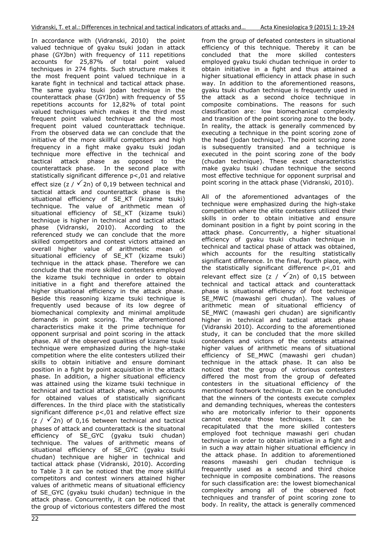In accordance with (Vidranski, 2010) the point valued technique of gyaku tsuki jodan in attack phase (GYJbn) with frequency of 111 repetitions accounts for 25,87% of total point valued techniques in 274 fights. Such structure makes it the most frequent point valued technique in a karate fight in technical and tactical attack phase. The same gyaku tsuki jodan technique in the counterattack phase (GYJbn) with frequency of 55 repetitions accounts for 12,82% of total point valued techniques which makes it the third most frequent point valued technique and the most frequent point valued counterattack technique. From the observed data we can conclude that the initiative of the more skillful competitors and high frequency in a fight make gyaku tsuki jodan technique more effective in the technical and tactical attack phase as opposed to the counterattack phase. In the second place with statistically significant difference p<,01 and relative effect size (z /  $\sqrt{2n}$ ) of 0,19 between technical and tactical attack and counterattack phase is the situational efficiency of SE\_KT (kizame tsuki) technique. The value of arithmetic mean of situational efficiency of SE\_KT (kizame tsuki) technique is higher in technical and tactical attack phase (Vidranski, 2010). According to the referenced study we can conclude that the more skilled competitors and contest victors attained an overall higher value of arithmetic mean of situational efficiency of SE\_KT (kizame tsuki) technique in the attack phase. Therefore we can conclude that the more skilled contesters employed the kizame tsuki technique in order to obtain initiative in a fight and therefore attained the higher situational efficiency in the attack phase. Beside this reasoning kizame tsuki technique is frequently used because of its low degree of biomechanical complexity and minimal amplitude demands in point scoring. The aforementioned characteristics make it the prime technique for opponent surprisal and point scoring in the attack phase. All of the observed qualities of kizame tsuki technique were emphasized during the high-stake competition where the elite contesters utilized their skills to obtain initiative and ensure dominant position in a fight by point acquisition in the attack phase. In addition, a higher situational efficiency was attained using the kizame tsuki technique in technical and tactical attack phase, which accounts for obtained values of statistically significant differences. In the third place with the statistically significant difference p<,01 and relative effect size  $(z / \sqrt{2n})$  of 0,16 between technical and tactical phases of attack and counterattack is the situatonal efficiency of SE\_GYC (gyaku tsuki chudan) technique. The values of arithmetic means of situational efficiency of SE\_GYC (gyaku tsuki chudan) technique are higher in technical and tactical attack phase (Vidranski, 2010). According to Table 3 it can be noticed that the more skillful competitors and contest winners attained higher values of arithmetic means of situational efficiency of SE\_GYC (gyaku tsuki chudan) technique in the attack phase. Concurrently, it can be noticed that the group of victorious contesters differed the most

from the group of defeated contesters in situational efficiency of this technique. Thereby it can be concluded that the more skilled contesters employed gyaku tsuki chudan technique in order to obtain initiative in a fight and thus attained a higher situational efficiency in attack phase in such way. In addition to the aforementioned reasons, gyaku tsuki chudan technique is frequently used in the attack as a second choice technique in composite combinations. The reasons for such classification are: low biomechanical complexity and transition of the point scoring zone to the body. In reality, the attack is generally commenced by executing a technique in the point scoring zone of the head (jodan technique). The point scoring zone is subsequently transited and a technique is executed in the point scoring zone of the body (chudan technique). These exact characteristics make gyaku tsuki chudan technique the second most effective technique for opponent surprisal and point scoring in the attack phase (Vidranski, 2010).

All of the aforementioned advantages of the technique were emphasized during the high-stake competition where the elite contesters utilized their skills in order to obtain initiative and ensure dominant position in a fight by point scoring in the attack phase. Concurrently, a higher situational efficiency of gyaku tsuki chudan technique in technical and tactical phase of attack was obtained, which accounts for the resulting statistically significant difference. In the final, fourth place, with the statistically significant difference p<,01 and relevant effect size (z /  $\sqrt{2n}$ ) of 0,15 between technical and tactical attack and counterattack phase is situational efficiency of foot technique SE MWC (mawashi geri chudan). The values of arithmetic mean of situational efficiency of SE MWC (mawashi geri chudan) are significantly higher in technical and tactical attack phase (Vidranski 2010). According to the aforementioned study, it can be concluded that the more skilled contenders and victors of the contests attained higher values of arithmetic means of situational efficiency of SE\_MWC (mawashi geri chudan) technique in the attack phase. It can also be noticed that the group of victorious contesters differed the most from the group of defeated contesters in the situational efficiency of the mentioned footwork technique. It can be concluded that the winners of the contests execute complex and demanding techniques, whereas the contesters who are motorically inferior to their opponents cannot execute those techniques. It can be recapitulated that the more skilled contesters employed foot technique mawashi geri chudan technique in order to obtain initiative in a fight and in such a way attain higher situational efficiency in the attack phase. In addition to aforementioned reasons mawashi geri chudan technique is frequently used as a second and third choice technique in composite combinations. The reasons for such classification are: the lowest biomechanical complexity among all of the observed foot techniques and transfer of point scoring zone to body. In reality, the attack is generally commenced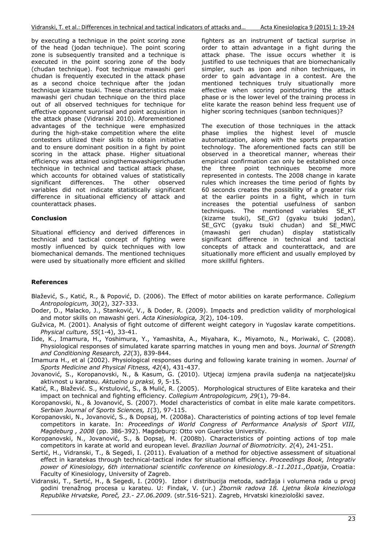by executing a technique in the point scoring zone of the head (jodan technique). The point scoring zone is subsequently transited and a technique is executed in the point scoring zone of the body (chudan technique). Foot technique mawashi geri chudan is frequently executed in the attack phase as a second choice technique after the jodan technique kizame tsuki. These characteristics make mawashi geri chudan technique on the third place out of all observed techniques for technique for effective opponent surprisal and point acquisition in the attack phase (Vidranski 2010). Aforementioned advantages of the technique were emphasized during the high-stake competition where the elite contesters utilized their skills to obtain initiative and to ensure dominant position in a fight by point scoring in the attack phase. Higher situational efficiency was attained usingthemawashigerichudan technique in technical and tactical attack phase, which accounts for obtained values of statistically significant differences. The other observed variables did not indicate statistically significant difference in situational efficiency of attack and counterattack phases.

# **Conclusion**

Situational efficiency and derived differences in technical and tactical concept of fighting were mostly influenced by quick techniques with low biomechanical demands. The mentioned techniques were used by situationally more efficient and skilled fighters as an instrument of tactical surprise in order to attain advantage in a fight during the attack phase. The issue occurs whether it is justified to use techniques that are biomechanically simpler, such as ipon and nihon techniques, in order to gain advantage in a contest. Are the mentioned techniques truly situationally more effective when scoring pointsduring the attack phase or is the lower level of the training process in elite karate the reason behind less frequent use of higher scoring techniques (sanbon techniques)?

The execution of those techniques in the attack phase implies the highest level of muscle automatization, along with the sports preparation technology. The aforementioned facts can still be observed in a theoretical manner, whereas their empirical confirmation can only be established once the three point techniques become more represented in contests. The 2008 change in karate rules which increases the time period of fights by 60 seconds creates the possibility of a greater risk at the earlier points in a fight, which in turn increases the potential usefulness of sanbon techniques. The mentioned variables SE\_KT (kizame tsuki), SE\_GYJ (gyaku tsuki jodan), SE\_GYC (gyaku tsuki chudan) and SE\_MWC<br>(mawashi geri chudan) display statistically .<br>geri chudan) display statistically significant difference in technical and tactical concepts of attack and counterattack, and are situationally more efficient and usually employed by more skillful fighters.

# **References**

- Blažević, S., Katić, R., & Popović, D. (2006). The Effect of motor abilities on karate performance. *Collegium Antropologicum, 30*(2), 327-333.
- Doder, D., Malacko, J., Stanković, V., & Doder, R. (2009). Impacts and prediction validity of morphological and motor skills on mawashi geri. *Acta Kinesiologica, 3*(2), 104-109.
- Gužvica, M. (2001). Analysis of fight outcome of different weight category in Yugoslav karate competitions. *Physical culture, 55*(1-4), 33-41.
- Iide, K., Imamura, H., Yoshimura, Y., Yamashita, A., Miyahara, K., Miyamoto, N., Moriwaki, C. (2008). Physiological responses of simulated karate sparring matches in young men and boys. *Journal of Strength and Conditioning Research, 22*(3), 839-844.
- Imamura H., et al (2002). Physiological responses during and following karate training in women. *Journal of Sports Medicine and Physical Fitness, 42*(4), 431-437.
- Jovanović, S., Koropanovski, N., & Kasum, G. (2010). Utjecaj izmjena pravila suđenja na natjecateljsku aktivnost u karateu. *Aktuelno u praksi, 9*, 5-15.
- Katić, R., Blažević. S., Krstulović, S., & Mulić, R. (2005). Morphological structures of Elite karateka and their impact on technical and fighting efficiency. *Collegium Antropologicum, 29*(1), 79-84.
- Koropanovski, N., & Jovanović, S. (2007). Model characteristics of combat in elite male karate competitors. *Serbian Journal of Sports Sciences, 1*(3), 97-115.
- Koropanovski, N., Jovanović, S., & Dopsaj, M. (2008a). Characteristics of pointing actions of top level female competitors in karate. In: *Proceedings of World Congress of Performance Analysis of Sport VIII, Magdeburg , 2008* (pp. 386-392). Magdeburg: Otto von Guericke University.
- Koropanovski, N., Jovanović, S., & Dopsaj, M. (2008b). Characteristics of pointing actions of top male competitors in karate at world and european level. *Brazilian Journal of Biomotricity. 2*(4), 241-251.
- Sertić, H., Vidranski, T., & Segedi, I. (2011). Evaluation of a method for objective assessment of situational effect in karatekas through technical-tactical index for situational efficiency. *Proceedings Book, Integrativ power of Kinesiology, 6th international scientific conference on kinesiology.8.-11.2011.,Opatija*, Croatia: Faculty of Kinesiology, University of Zagreb.
- Vidranski, T., Sertić, H., & Segedi, I. (2009). Izbor i distribucija metoda, sadržaja i volumena rada u prvoj godini trenažnog procesa u karateu. U: Findak, V. (ur.) *Zbornik radova 18. Ljetna škola kineziologa Republike Hrvatske, Poreč, 23.- 27.06.2009*. (str.516-521). Zagreb, Hrvatski kineziološki savez.